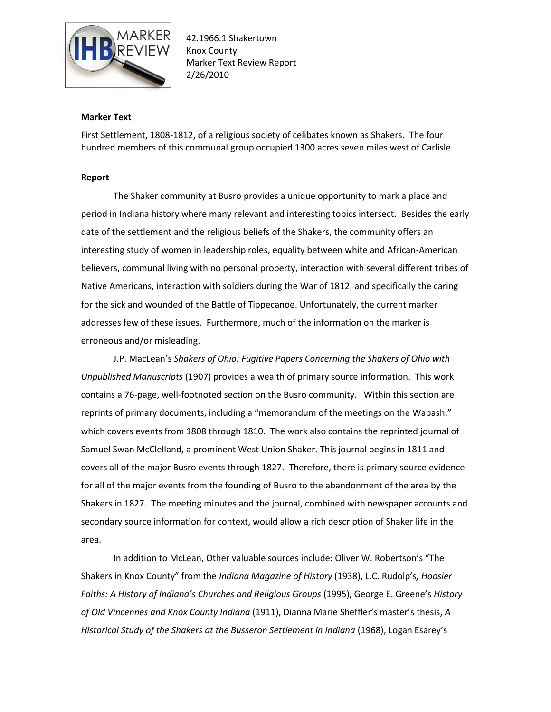

## **Marker Text**

First Settlement, 1808-1812, of a religious society of celibates known as Shakers. The four hundred members of this communal group occupied 1300 acres seven miles west of Carlisle.

## **Report**

The Shaker community at Busro provides a unique opportunity to mark a place and period in Indiana history where many relevant and interesting topics intersect. Besides the early date of the settlement and the religious beliefs of the Shakers, the community offers an interesting study of women in leadership roles, equality between white and African-American believers, communal living with no personal property, interaction with several different tribes of Native Americans, interaction with soldiers during the War of 1812, and specifically the caring for the sick and wounded of the Battle of Tippecanoe. Unfortunately, the current marker addresses few of these issues. Furthermore, much of the information on the marker is erroneous and/or misleading.

J.P. MacLean's *Shakers of Ohio: Fugitive Papers Concerning the Shakers of Ohio with Unpublished Manuscripts* (1907) provides a wealth of primary source information. This work contains a 76-page, well-footnoted section on the Busro community. Within this section are reprints of primary documents, including a "memorandum of the meetings on the Wabash," which covers events from 1808 through 1810. The work also contains the reprinted journal of Samuel Swan McClelland, a prominent West Union Shaker. This journal begins in 1811 and covers all of the major Busro events through 1827. Therefore, there is primary source evidence for all of the major events from the founding of Busro to the abandonment of the area by the Shakers in 1827. The meeting minutes and the journal, combined with newspaper accounts and secondary source information for context, would allow a rich description of Shaker life in the area.

In addition to McLean, Other valuable sources include: Oliver W. Robertson's "The Shakers in Knox County" from the *Indiana Magazine of History* (1938), L.C. Rudolp's*, Hoosier Faiths: A History of Indiana's Churches and Religious Groups* (1995), George E. Greene's *History of Old Vincennes and Knox County Indiana* (1911), Dianna Marie Sheffler's master's thesis, *A Historical Study of the Shakers at the Busseron Settlement in Indiana* (1968), Logan Esarey's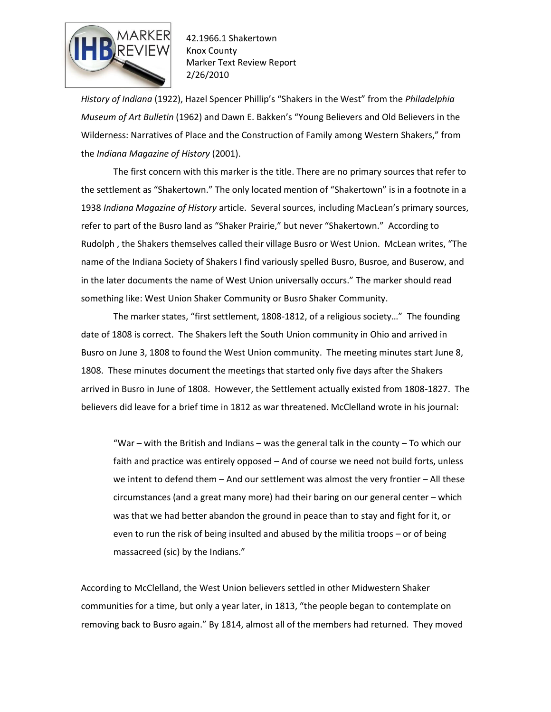

*History of Indiana* (1922), Hazel Spencer Phillip's "Shakers in the West" from the *Philadelphia Museum of Art Bulletin* (1962) and Dawn E. Bakken's "Young Believers and Old Believers in the Wilderness: Narratives of Place and the Construction of Family among Western Shakers," from the *Indiana Magazine of History* (2001).

The first concern with this marker is the title. There are no primary sources that refer to the settlement as "Shakertown." The only located mention of "Shakertown" is in a footnote in a 1938 *Indiana Magazine of History* article. Several sources, including MacLean's primary sources, refer to part of the Busro land as "Shaker Prairie," but never "Shakertown." According to Rudolph , the Shakers themselves called their village Busro or West Union. McLean writes, "The name of the Indiana Society of Shakers I find variously spelled Busro, Busroe, and Buserow, and in the later documents the name of West Union universally occurs." The marker should read something like: West Union Shaker Community or Busro Shaker Community.

The marker states, "first settlement, 1808-1812, of a religious society…" The founding date of 1808 is correct. The Shakers left the South Union community in Ohio and arrived in Busro on June 3, 1808 to found the West Union community. The meeting minutes start June 8, 1808. These minutes document the meetings that started only five days after the Shakers arrived in Busro in June of 1808. However, the Settlement actually existed from 1808-1827. The believers did leave for a brief time in 1812 as war threatened. McClelland wrote in his journal:

"War – with the British and Indians – was the general talk in the county – To which our faith and practice was entirely opposed – And of course we need not build forts, unless we intent to defend them – And our settlement was almost the very frontier – All these circumstances (and a great many more) had their baring on our general center – which was that we had better abandon the ground in peace than to stay and fight for it, or even to run the risk of being insulted and abused by the militia troops – or of being massacreed (sic) by the Indians."

According to McClelland, the West Union believers settled in other Midwestern Shaker communities for a time, but only a year later, in 1813, "the people began to contemplate on removing back to Busro again." By 1814, almost all of the members had returned. They moved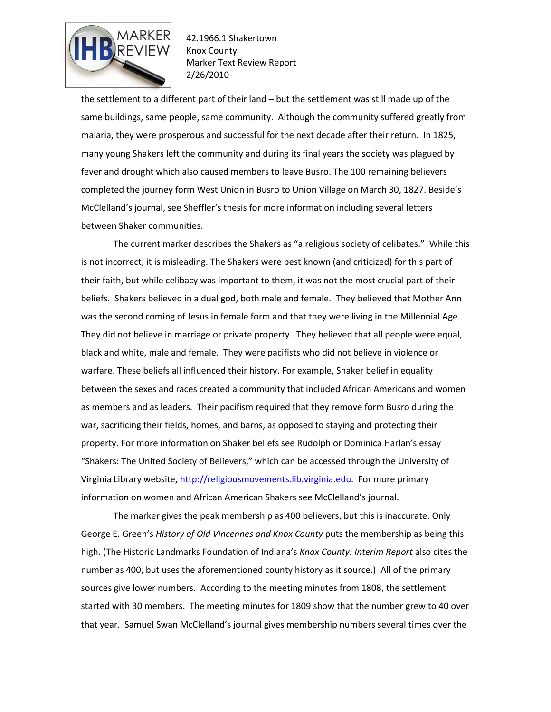

the settlement to a different part of their land – but the settlement was still made up of the same buildings, same people, same community. Although the community suffered greatly from malaria, they were prosperous and successful for the next decade after their return. In 1825, many young Shakers left the community and during its final years the society was plagued by fever and drought which also caused members to leave Busro. The 100 remaining believers completed the journey form West Union in Busro to Union Village on March 30, 1827. Beside's McClelland's journal, see Sheffler's thesis for more information including several letters between Shaker communities.

The current marker describes the Shakers as "a religious society of celibates." While this is not incorrect, it is misleading. The Shakers were best known (and criticized) for this part of their faith, but while celibacy was important to them, it was not the most crucial part of their beliefs. Shakers believed in a dual god, both male and female. They believed that Mother Ann was the second coming of Jesus in female form and that they were living in the Millennial Age. They did not believe in marriage or private property. They believed that all people were equal, black and white, male and female. They were pacifists who did not believe in violence or warfare. These beliefs all influenced their history. For example, Shaker belief in equality between the sexes and races created a community that included African Americans and women as members and as leaders. Their pacifism required that they remove form Busro during the war, sacrificing their fields, homes, and barns, as opposed to staying and protecting their property. For more information on Shaker beliefs see Rudolph or Dominica Harlan's essay "Shakers: The United Society of Believers," which can be accessed through the University of Virginia Library website, [http://religiousmovements.lib.virginia.edu.](http://religiousmovements.lib.virginia.edu/) For more primary information on women and African American Shakers see McClelland's journal.

The marker gives the peak membership as 400 believers, but this is inaccurate. Only George E. Green's *History of Old Vincennes and Knox County* puts the membership as being this high. (The Historic Landmarks Foundation of Indiana's *Knox County: Interim Report* also cites the number as 400, but uses the aforementioned county history as it source.) All of the primary sources give lower numbers. According to the meeting minutes from 1808, the settlement started with 30 members. The meeting minutes for 1809 show that the number grew to 40 over that year. Samuel Swan McClelland's journal gives membership numbers several times over the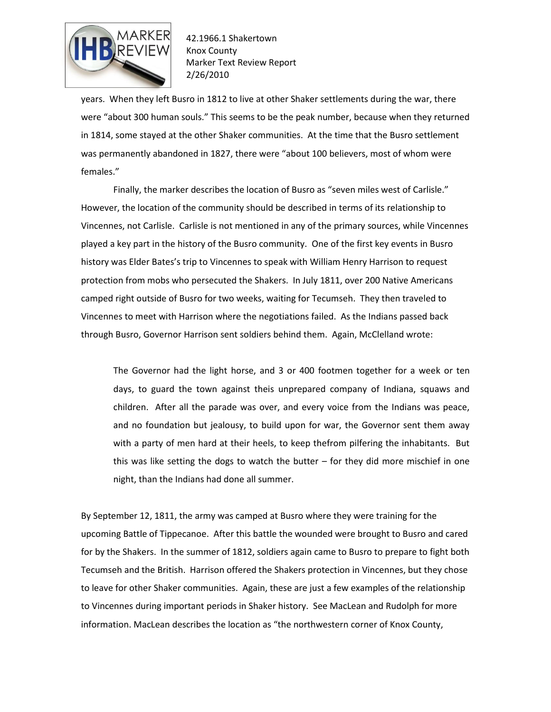

years. When they left Busro in 1812 to live at other Shaker settlements during the war, there were "about 300 human souls." This seems to be the peak number, because when they returned in 1814, some stayed at the other Shaker communities. At the time that the Busro settlement was permanently abandoned in 1827, there were "about 100 believers, most of whom were females."

Finally, the marker describes the location of Busro as "seven miles west of Carlisle." However, the location of the community should be described in terms of its relationship to Vincennes, not Carlisle. Carlisle is not mentioned in any of the primary sources, while Vincennes played a key part in the history of the Busro community. One of the first key events in Busro history was Elder Bates's trip to Vincennes to speak with William Henry Harrison to request protection from mobs who persecuted the Shakers. In July 1811, over 200 Native Americans camped right outside of Busro for two weeks, waiting for Tecumseh. They then traveled to Vincennes to meet with Harrison where the negotiations failed. As the Indians passed back through Busro, Governor Harrison sent soldiers behind them. Again, McClelland wrote:

The Governor had the light horse, and 3 or 400 footmen together for a week or ten days, to guard the town against theis unprepared company of Indiana, squaws and children. After all the parade was over, and every voice from the Indians was peace, and no foundation but jealousy, to build upon for war, the Governor sent them away with a party of men hard at their heels, to keep thefrom pilfering the inhabitants. But this was like setting the dogs to watch the butter  $-$  for they did more mischief in one night, than the Indians had done all summer.

By September 12, 1811, the army was camped at Busro where they were training for the upcoming Battle of Tippecanoe. After this battle the wounded were brought to Busro and cared for by the Shakers. In the summer of 1812, soldiers again came to Busro to prepare to fight both Tecumseh and the British. Harrison offered the Shakers protection in Vincennes, but they chose to leave for other Shaker communities. Again, these are just a few examples of the relationship to Vincennes during important periods in Shaker history. See MacLean and Rudolph for more information. MacLean describes the location as "the northwestern corner of Knox County,